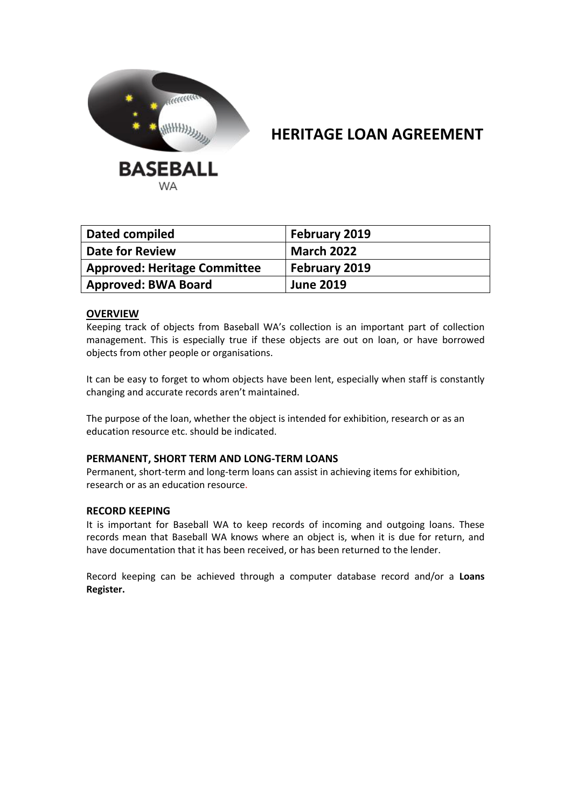

**HERITAGE LOAN AGREEMENT**

| Dated compiled                      | February 2019     |
|-------------------------------------|-------------------|
| <b>Date for Review</b>              | <b>March 2022</b> |
| <b>Approved: Heritage Committee</b> | February 2019     |
| <b>Approved: BWA Board</b>          | <b>June 2019</b>  |

### **OVERVIEW**

Keeping track of objects from Baseball WA's collection is an important part of collection management. This is especially true if these objects are out on loan, or have borrowed objects from other people or organisations.

It can be easy to forget to whom objects have been lent, especially when staff is constantly changing and accurate records aren't maintained.

The purpose of the loan, whether the object is intended for exhibition, research or as an education resource etc. should be indicated.

### **PERMANENT, SHORT TERM AND LONG-TERM LOANS**

Permanent, short-term and long-term loans can assist in achieving items for exhibition, research or as an education resource.

#### **RECORD KEEPING**

It is important for Baseball WA to keep records of incoming and outgoing loans. These records mean that Baseball WA knows where an object is, when it is due for return, and have documentation that it has been received, or has been returned to the lender.

Record keeping can be achieved through a computer database record and/or a **Loans Register.**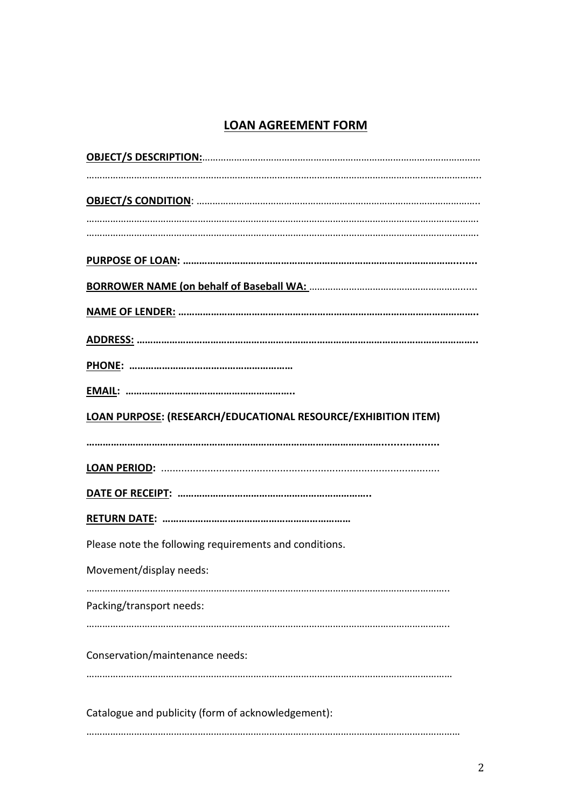# **LOAN AGREEMENT FORM**

| LOAN PURPOSE: (RESEARCH/EDUCATIONAL RESOURCE/EXHIBITION ITEM) |
|---------------------------------------------------------------|
|                                                               |
|                                                               |
|                                                               |
|                                                               |
| Please note the following requirements and conditions.        |
| Movement/display needs:                                       |
| Packing/transport needs:                                      |
| Conservation/maintenance needs:                               |
| Catalogue and publicity (form of acknowledgement):            |

……………………………………………………………………………………………………………………………